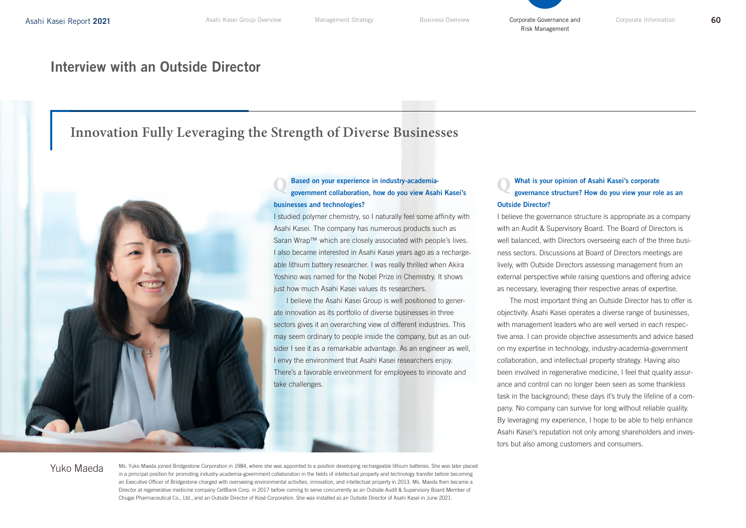### Interview with an Outside Director

## **Innovation Fully Leveraging the Strength of Diverse Businesses**



Asahi Kasei. The company has numerous products such as Saran Wrap™ which are closely associated with people's lives. I also became interested in Asahi Kasei years ago as a rechargeable lithium battery researcher. I was really thrilled when Akira Yoshino was named for the Nobel Prize in Chemistry. It shows just how much Asahi Kasei values its researchers.

I believe the Asahi Kasei Group is well positioned to generate innovation as its portfolio of diverse businesses in three sectors gives it an overarching view of different industries. This may seem ordinary to people inside the company, but as an outsider I see it as a remarkable advantage. As an engineer as well, I envy the environment that Asahi Kasei researchers enjoy. There's a favorable environment for employees to innovate and take challenges.

### What is your opinion of Asahi Kasei's corporate governance structure? How do you view your role as an Outside Director?

I believe the governance structure is appropriate as a company with an Audit & Supervisory Board. The Board of Directors is well balanced, with Directors overseeing each of the three business sectors. Discussions at Board of Directors meetings are lively, with Outside Directors assessing management from an external perspective while raising questions and offering advice as necessary, leveraging their respective areas of expertise.

The most important thing an Outside Director has to offer is objectivity. Asahi Kasei operates a diverse range of businesses, with management leaders who are well versed in each respective area. I can provide objective assessments and advice based on my expertise in technology, industry-academia-government collaboration, and intellectual property strategy. Having also been involved in regenerative medicine, I feel that quality assurance and control can no longer been seen as some thankless task in the background; these days it's truly the lifeline of a company. No company can survive for long without reliable quality. By leveraging my experience, I hope to be able to help enhance Asahi Kasei's reputation not only among shareholders and investors but also among customers and consumers.

Yuko Maeda

Ms. Yuko Maeda joined Bridgestone Corporation in 1984, where she was appointed to a position developing rechargeable lithium batteries. She was later placed in a principal position for promoting industry-academia-government collaboration in the fields of intellectual property and technology transfer before becoming an Executive Officer of Bridgestone charged with overseeing environmental activities, innovation, and intellectual property in 2013. Ms. Maeda then became a Director at regenerative medicine company CellBank Corp. in 2017 before coming to serve concurrently as an Outside Audit & Supervisory Board Member of Chugai Pharmaceutical Co., Ltd., and an Outside Director of Kosé Corporation. She was installed as an Outside Director of Asahi Kasei in June 2021.